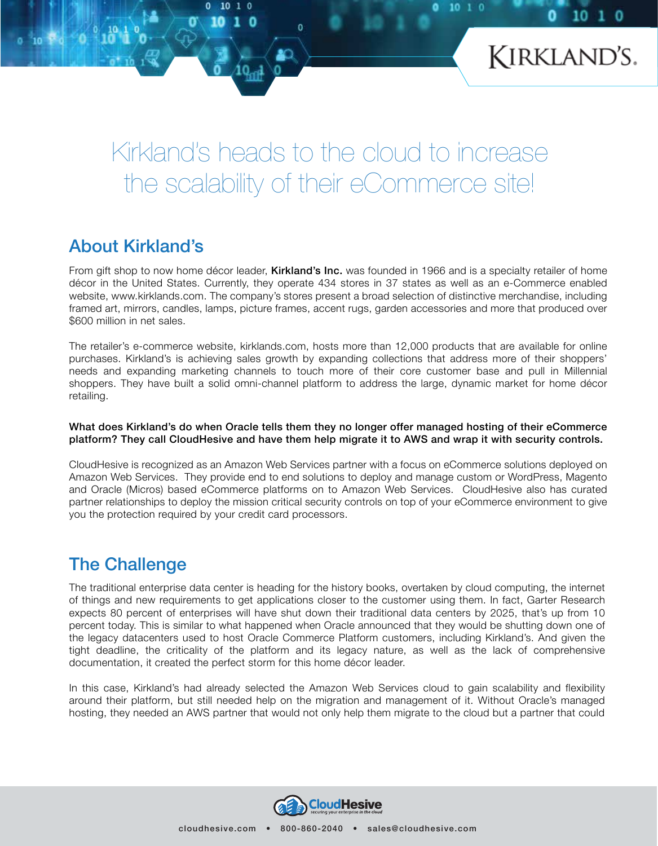

10

# Kirkland's heads to the cloud to increase the scalability of their eCommerce site!

# About Kirkland's

o 10  $1<sub>0</sub>$ 

From gift shop to now home décor leader, **Kirkland's Inc.** was founded in 1966 and is a specialty retailer of home décor in the United States. Currently, they operate 434 stores in 37 states as well as an e-Commerce enabled website, www.kirklands.com. The company's stores present a broad selection of distinctive merchandise, including framed art, mirrors, candles, lamps, picture frames, accent rugs, garden accessories and more that produced over \$600 million in net sales.

The retailer's e-commerce website, kirklands.com, hosts more than 12,000 products that are available for online purchases. Kirkland's is achieving sales growth by expanding collections that address more of their shoppers' needs and expanding marketing channels to touch more of their core customer base and pull in Millennial shoppers. They have built a solid omni-channel platform to address the large, dynamic market for home décor retailing.

#### What does Kirkland's do when Oracle tells them they no longer offer managed hosting of their eCommerce platform? They call CloudHesive and have them help migrate it to AWS and wrap it with security controls.

CloudHesive is recognized as an Amazon Web Services partner with a focus on eCommerce solutions deployed on Amazon Web Services. They provide end to end solutions to deploy and manage custom or WordPress, Magento and Oracle (Micros) based eCommerce platforms on to Amazon Web Services. CloudHesive also has curated partner relationships to deploy the mission critical security controls on top of your eCommerce environment to give you the protection required by your credit card processors.

## The Challenge

The traditional enterprise data center is heading for the history books, overtaken by cloud computing, the internet of things and new requirements to get applications closer to the customer using them. In fact, Garter Research expects 80 percent of enterprises will have shut down their traditional data centers by 2025, that's up from 10 percent today. This is similar to what happened when Oracle announced that they would be shutting down one of the legacy datacenters used to host Oracle Commerce Platform customers, including Kirkland's. And given the tight deadline, the criticality of the platform and its legacy nature, as well as the lack of comprehensive documentation, it created the perfect storm for this home décor leader.

In this case, Kirkland's had already selected the Amazon Web Services cloud to gain scalability and flexibility around their platform, but still needed help on the migration and management of it. Without Oracle's managed hosting, they needed an AWS partner that would not only help them migrate to the cloud but a partner that could